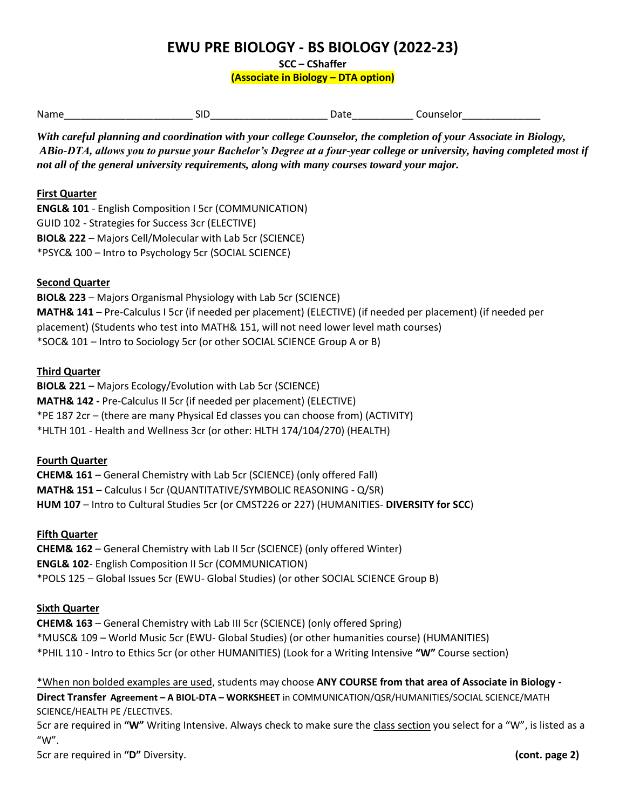# **EWU PRE BIOLOGY - BS BIOLOGY (2022-23)**

**SCC – CShaffer**

**(Associate in Biology – DTA option)**

| Name   | $ -$ | . . | .<br>. 13619 |
|--------|------|-----|--------------|
| ______ |      |     | .            |

*With careful planning and coordination with your college Counselor, the completion of your Associate in Biology, ABio-DTA, allows you to pursue your Bachelor's Degree at a four-year college or university, having completed most if not all of the general university requirements, along with many courses toward your major.* 

### **First Quarter**

**ENGL& 101** - English Composition I 5cr (COMMUNICATION) GUID 102 - Strategies for Success 3cr (ELECTIVE) **BIOL& 222** – Majors Cell/Molecular with Lab 5cr (SCIENCE) \*PSYC& 100 – Intro to Psychology 5cr (SOCIAL SCIENCE)

#### **Second Quarter**

**BIOL& 223** – Majors Organismal Physiology with Lab 5cr (SCIENCE) **MATH& 141** – Pre-Calculus I 5cr (if needed per placement) (ELECTIVE) (if needed per placement) (if needed per placement) (Students who test into MATH& 151, will not need lower level math courses) \*SOC& 101 – Intro to Sociology 5cr (or other SOCIAL SCIENCE Group A or B)

#### **Third Quarter**

**BIOL& 221** – Majors Ecology/Evolution with Lab 5cr (SCIENCE) **MATH& 142 -** Pre-Calculus II 5cr (if needed per placement) (ELECTIVE) \*PE 187 2cr – (there are many Physical Ed classes you can choose from) (ACTIVITY) \*HLTH 101 - Health and Wellness 3cr (or other: HLTH 174/104/270) (HEALTH)

## **Fourth Quarter**

**CHEM& 161** – General Chemistry with Lab 5cr (SCIENCE) (only offered Fall) **MATH& 151** – Calculus I 5cr (QUANTITATIVE/SYMBOLIC REASONING - Q/SR) **HUM 107** – Intro to Cultural Studies 5cr (or CMST226 or 227) (HUMANITIES- **DIVERSITY for SCC**)

#### **Fifth Quarter**

**CHEM& 162** – General Chemistry with Lab II 5cr (SCIENCE) (only offered Winter) **ENGL& 102**- English Composition II 5cr (COMMUNICATION) \*POLS 125 – Global Issues 5cr (EWU- Global Studies) (or other SOCIAL SCIENCE Group B)

#### **Sixth Quarter**

**CHEM& 163** – General Chemistry with Lab III 5cr (SCIENCE) (only offered Spring) \*MUSC& 109 – World Music 5cr (EWU- Global Studies) (or other humanities course) (HUMANITIES) \*PHIL 110 - Intro to Ethics 5cr (or other HUMANITIES) (Look for a Writing Intensive **"W"** Course section)

\*When non bolded examples are used, students may choose **ANY COURSE from that area of Associate in Biology - Direct Transfer Agreement – A BIOL-DTA – WORKSHEET** in COMMUNICATION/QSR/HUMANITIES/SOCIAL SCIENCE/MATH SCIENCE/HEALTH PE /ELECTIVES.

5cr are required in **"W"** Writing Intensive. Always check to make sure the class section you select for a "W", is listed as a "W".

5cr are required in **"D"** Diversity. **(cont. page 2)**